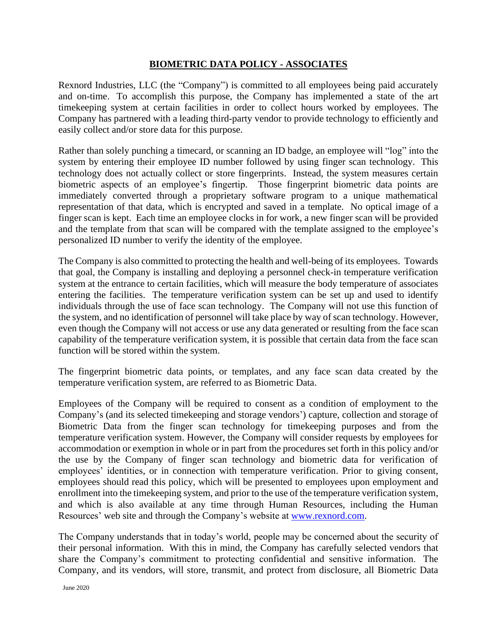## **BIOMETRIC DATA POLICY - ASSOCIATES**

Rexnord Industries, LLC (the "Company") is committed to all employees being paid accurately and on-time. To accomplish this purpose, the Company has implemented a state of the art timekeeping system at certain facilities in order to collect hours worked by employees. The Company has partnered with a leading third-party vendor to provide technology to efficiently and easily collect and/or store data for this purpose.

Rather than solely punching a timecard, or scanning an ID badge, an employee will "log" into the system by entering their employee ID number followed by using finger scan technology. This technology does not actually collect or store fingerprints. Instead, the system measures certain biometric aspects of an employee's fingertip. Those fingerprint biometric data points are immediately converted through a proprietary software program to a unique mathematical representation of that data, which is encrypted and saved in a template. No optical image of a finger scan is kept. Each time an employee clocks in for work, a new finger scan will be provided and the template from that scan will be compared with the template assigned to the employee's personalized ID number to verify the identity of the employee.

The Company is also committed to protecting the health and well-being of its employees. Towards that goal, the Company is installing and deploying a personnel check-in temperature verification system at the entrance to certain facilities, which will measure the body temperature of associates entering the facilities. The temperature verification system can be set up and used to identify individuals through the use of face scan technology. The Company will not use this function of the system, and no identification of personnel will take place by way of scan technology. However, even though the Company will not access or use any data generated or resulting from the face scan capability of the temperature verification system, it is possible that certain data from the face scan function will be stored within the system.

The fingerprint biometric data points, or templates, and any face scan data created by the temperature verification system, are referred to as Biometric Data.

Employees of the Company will be required to consent as a condition of employment to the Company's (and its selected timekeeping and storage vendors') capture, collection and storage of Biometric Data from the finger scan technology for timekeeping purposes and from the temperature verification system. However, the Company will consider requests by employees for accommodation or exemption in whole or in part from the procedures set forth in this policy and/or the use by the Company of finger scan technology and biometric data for verification of employees' identities, or in connection with temperature verification. Prior to giving consent, employees should read this policy, which will be presented to employees upon employment and enrollment into the timekeeping system, and prior to the use of the temperature verification system, and which is also available at any time through Human Resources, including the Human Resources' web site and through the Company's website at [www.rexnord.com.](http://www.rexnord.com/)

The Company understands that in today's world, people may be concerned about the security of their personal information. With this in mind, the Company has carefully selected vendors that share the Company's commitment to protecting confidential and sensitive information. The Company, and its vendors, will store, transmit, and protect from disclosure, all Biometric Data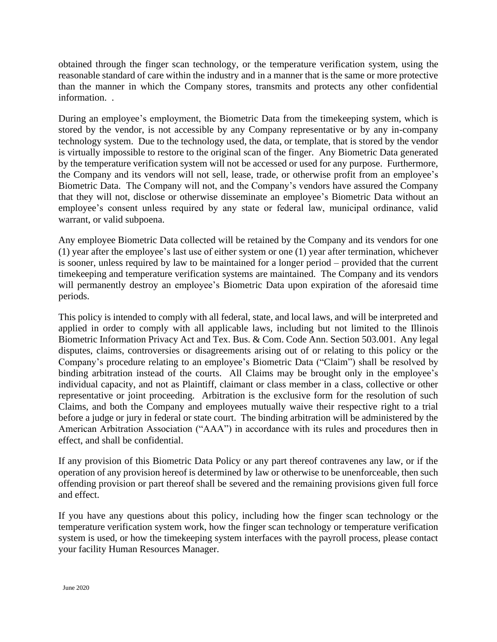obtained through the finger scan technology, or the temperature verification system, using the reasonable standard of care within the industry and in a manner that is the same or more protective than the manner in which the Company stores, transmits and protects any other confidential information. .

During an employee's employment, the Biometric Data from the timekeeping system, which is stored by the vendor, is not accessible by any Company representative or by any in-company technology system. Due to the technology used, the data, or template, that is stored by the vendor is virtually impossible to restore to the original scan of the finger. Any Biometric Data generated by the temperature verification system will not be accessed or used for any purpose. Furthermore, the Company and its vendors will not sell, lease, trade, or otherwise profit from an employee's Biometric Data. The Company will not, and the Company's vendors have assured the Company that they will not, disclose or otherwise disseminate an employee's Biometric Data without an employee's consent unless required by any state or federal law, municipal ordinance, valid warrant, or valid subpoena.

Any employee Biometric Data collected will be retained by the Company and its vendors for one (1) year after the employee's last use of either system or one (1) year after termination, whichever is sooner, unless required by law to be maintained for a longer period – provided that the current timekeeping and temperature verification systems are maintained. The Company and its vendors will permanently destroy an employee's Biometric Data upon expiration of the aforesaid time periods.

This policy is intended to comply with all federal, state, and local laws, and will be interpreted and applied in order to comply with all applicable laws, including but not limited to the Illinois Biometric Information Privacy Act and Tex. Bus. & Com. Code Ann. Section 503.001. Any legal disputes, claims, controversies or disagreements arising out of or relating to this policy or the Company's procedure relating to an employee's Biometric Data ("Claim") shall be resolved by binding arbitration instead of the courts. All Claims may be brought only in the employee's individual capacity, and not as Plaintiff, claimant or class member in a class, collective or other representative or joint proceeding. Arbitration is the exclusive form for the resolution of such Claims, and both the Company and employees mutually waive their respective right to a trial before a judge or jury in federal or state court. The binding arbitration will be administered by the American Arbitration Association ("AAA") in accordance with its rules and procedures then in effect, and shall be confidential.

If any provision of this Biometric Data Policy or any part thereof contravenes any law, or if the operation of any provision hereof is determined by law or otherwise to be unenforceable, then such offending provision or part thereof shall be severed and the remaining provisions given full force and effect.

If you have any questions about this policy, including how the finger scan technology or the temperature verification system work, how the finger scan technology or temperature verification system is used, or how the timekeeping system interfaces with the payroll process, please contact your facility Human Resources Manager.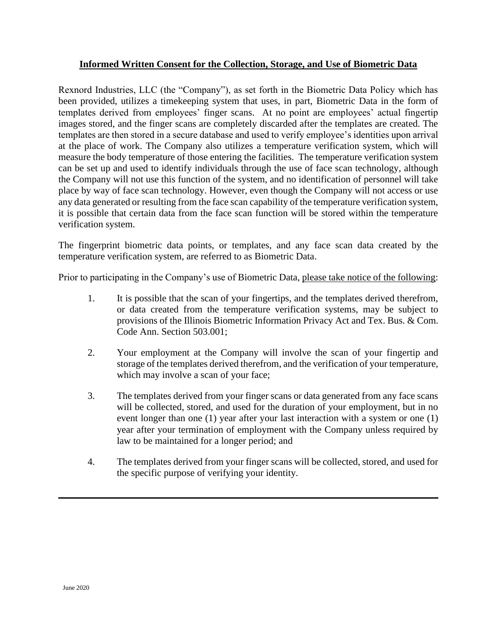## **Informed Written Consent for the Collection, Storage, and Use of Biometric Data**

Rexnord Industries, LLC (the "Company"), as set forth in the Biometric Data Policy which has been provided, utilizes a timekeeping system that uses, in part, Biometric Data in the form of templates derived from employees' finger scans. At no point are employees' actual fingertip images stored, and the finger scans are completely discarded after the templates are created. The templates are then stored in a secure database and used to verify employee's identities upon arrival at the place of work. The Company also utilizes a temperature verification system, which will measure the body temperature of those entering the facilities. The temperature verification system can be set up and used to identify individuals through the use of face scan technology, although the Company will not use this function of the system, and no identification of personnel will take place by way of face scan technology. However, even though the Company will not access or use any data generated or resulting from the face scan capability of the temperature verification system, it is possible that certain data from the face scan function will be stored within the temperature verification system.

The fingerprint biometric data points, or templates, and any face scan data created by the temperature verification system, are referred to as Biometric Data.

Prior to participating in the Company's use of Biometric Data, please take notice of the following:

- 1. It is possible that the scan of your fingertips, and the templates derived therefrom, or data created from the temperature verification systems, may be subject to provisions of the Illinois Biometric Information Privacy Act and Tex. Bus. & Com. Code Ann. Section 503.001;
- 2. Your employment at the Company will involve the scan of your fingertip and storage of the templates derived therefrom, and the verification of your temperature, which may involve a scan of your face;
- 3. The templates derived from your finger scans or data generated from any face scans will be collected, stored, and used for the duration of your employment, but in no event longer than one (1) year after your last interaction with a system or one (1) year after your termination of employment with the Company unless required by law to be maintained for a longer period; and
- 4. The templates derived from your finger scans will be collected, stored, and used for the specific purpose of verifying your identity.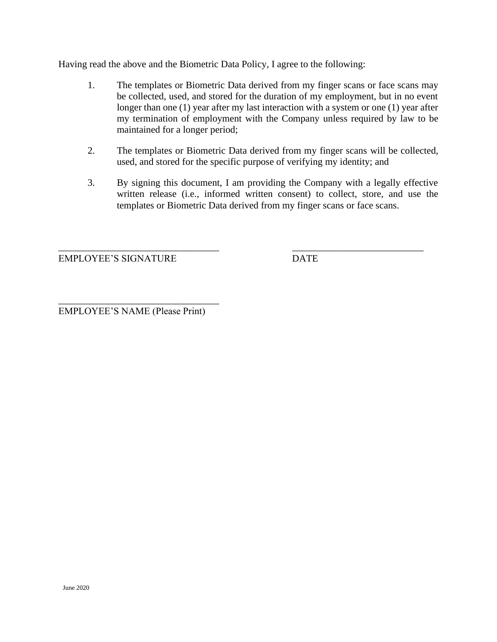Having read the above and the Biometric Data Policy, I agree to the following:

- 1. The templates or Biometric Data derived from my finger scans or face scans may be collected, used, and stored for the duration of my employment, but in no event longer than one (1) year after my last interaction with a system or one (1) year after my termination of employment with the Company unless required by law to be maintained for a longer period;
- 2. The templates or Biometric Data derived from my finger scans will be collected, used, and stored for the specific purpose of verifying my identity; and
- 3. By signing this document, I am providing the Company with a legally effective written release (i.e., informed written consent) to collect, store, and use the templates or Biometric Data derived from my finger scans or face scans.

\_\_\_\_\_\_\_\_\_\_\_\_\_\_\_\_\_\_\_\_\_\_\_\_\_\_\_\_\_\_\_\_\_ \_\_\_\_\_\_\_\_\_\_\_\_\_\_\_\_\_\_\_\_\_\_\_\_\_\_\_

EMPLOYEE'S SIGNATURE DATE

\_\_\_\_\_\_\_\_\_\_\_\_\_\_\_\_\_\_\_\_\_\_\_\_\_\_\_\_\_\_\_\_\_ EMPLOYEE'S NAME (Please Print)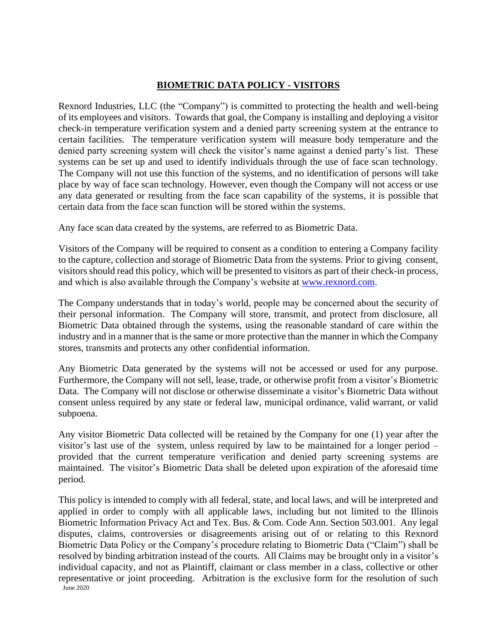## **BIOMETRIC DATA POLICY - VISITORS**

Rexnord Industries, LLC (the "Company") is committed to protecting the health and well-being of its employees and visitors. Towards that goal, the Company is installing and deploying a visitor check-in temperature verification system and a denied party screening system at the entrance to certain facilities. The temperature verification system will measure body temperature and the denied party screening system will check the visitor's name against a denied party's list. These systems can be set up and used to identify individuals through the use of face scan technology. The Company will not use this function of the systems, and no identification of persons will take place by way of face scan technology. However, even though the Company will not access or use any data generated or resulting from the face scan capability of the systems, it is possible that certain data from the face scan function will be stored within the systems.

Any face scan data created by the systems, are referred to as Biometric Data.

Visitors of the Company will be required to consent as a condition to entering a Company facility to the capture, collection and storage of Biometric Data from the systems. Prior to giving consent, visitors should read this policy, which will be presented to visitors as part of their check-in process, and which is also available through the Company's website at [www.rexnord.com.](http://www.rexnord.com/)

The Company understands that in today's world, people may be concerned about the security of their personal information. The Company will store, transmit, and protect from disclosure, all Biometric Data obtained through the systems, using the reasonable standard of care within the industry and in a manner that is the same or more protective than the manner in which the Company stores, transmits and protects any other confidential information.

Any Biometric Data generated by the systems will not be accessed or used for any purpose. Furthermore, the Company will not sell, lease, trade, or otherwise profit from a visitor's Biometric Data. The Company will not disclose or otherwise disseminate a visitor's Biometric Data without consent unless required by any state or federal law, municipal ordinance, valid warrant, or valid subpoena.

Any visitor Biometric Data collected will be retained by the Company for one (1) year after the visitor's last use of the system, unless required by law to be maintained for a longer period – provided that the current temperature verification and denied party screening systems are maintained. The visitor's Biometric Data shall be deleted upon expiration of the aforesaid time period.

June 2020 This policy is intended to comply with all federal, state, and local laws, and will be interpreted and applied in order to comply with all applicable laws, including but not limited to the Illinois Biometric Information Privacy Act and Tex. Bus. & Com. Code Ann. Section 503.001. Any legal disputes, claims, controversies or disagreements arising out of or relating to this Rexnord Biometric Data Policy or the Company's procedure relating to Biometric Data ("Claim") shall be resolved by binding arbitration instead of the courts. All Claims may be brought only in a visitor's individual capacity, and not as Plaintiff, claimant or class member in a class, collective or other representative or joint proceeding. Arbitration is the exclusive form for the resolution of such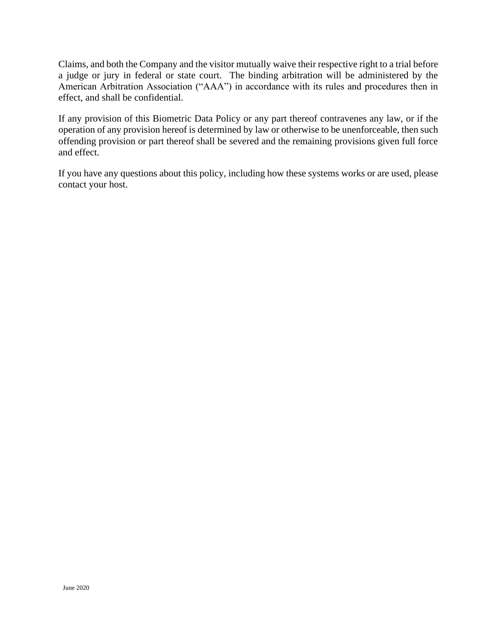Claims, and both the Company and the visitor mutually waive their respective right to a trial before a judge or jury in federal or state court. The binding arbitration will be administered by the American Arbitration Association ("AAA") in accordance with its rules and procedures then in effect, and shall be confidential.

If any provision of this Biometric Data Policy or any part thereof contravenes any law, or if the operation of any provision hereof is determined by law or otherwise to be unenforceable, then such offending provision or part thereof shall be severed and the remaining provisions given full force and effect.

If you have any questions about this policy, including how these systems works or are used, please contact your host.